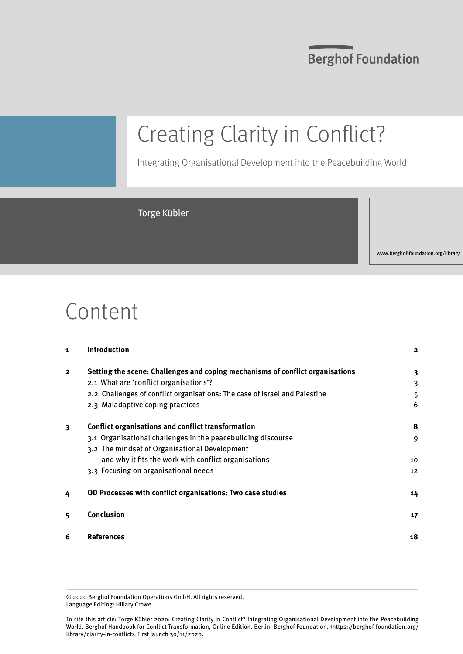## **Berghof Foundation**

# Creating Clarity in Conflict?

Integrating Organisational Development into the Peacebuilding World

## Torge Kübler

www.berghof-foundation.org/library

## Content

| 1                       | <b>Introduction</b>                                                           | $\mathbf{2}$ |
|-------------------------|-------------------------------------------------------------------------------|--------------|
| $\overline{\mathbf{2}}$ | Setting the scene: Challenges and coping mechanisms of conflict organisations | 3            |
|                         | 2.1 What are 'conflict organisations'?                                        | 3            |
|                         | 2.2 Challenges of conflict organisations: The case of Israel and Palestine    | 5            |
|                         | 2.3 Maladaptive coping practices                                              | 6            |
| 3                       | Conflict organisations and conflict transformation                            | 8            |
|                         | 3.1 Organisational challenges in the peacebuilding discourse                  | 9            |
|                         | 3.2 The mindset of Organisational Development                                 |              |
|                         | and why it fits the work with conflict organisations                          | 10           |
|                         | 3.3 Focusing on organisational needs                                          | 12           |
| 4                       | OD Processes with conflict organisations: Two case studies                    | 14           |
| 5                       | Conclusion                                                                    | 17           |
| 6                       | References                                                                    | 18           |

© 2020 Berghof Foundation Operations GmbH. All rights reserved. Language Editing: Hillary Crowe

To cite this article: Torge Kübler 2020: Creating Clarity in Conflict? Integrating Organisational Development into the Peacebuilding World. Berghof Handbook for Conflict Transformation, Online Edition. Berlin: Berghof Foundation. <https://berghof-foundation.org/ library/clarity-in-conflict>. First launch 30/11/2020.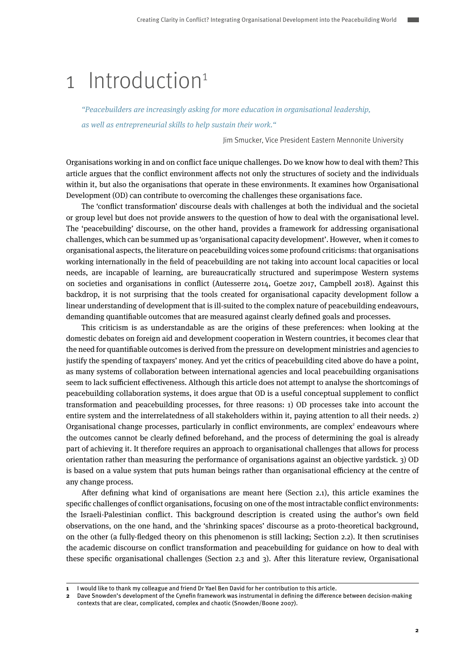## <span id="page-1-0"></span>1 Introduction<sup>1</sup>

"Peacebuilders are increasingly asking for more education in organisational leadership, as well as entrepreneurial skills to help sustain their work."

Jim Smucker, Vice President Eastern Mennonite University

Organisations working in and on conflict face unique challenges. Do we know how to deal with them? This article argues that the conflict environment affects not only the structures of society and the individuals within it, but also the organisations that operate in these environments. It examines how Organisational Development (OD) can contribute to overcoming the challenges these organisations face.

The 'conflict transformation' discourse deals with challenges at both the individual and the societal or group level but does not provide answers to the question of how to deal with the organisational level. The 'peacebuilding' discourse, on the other hand, provides a framework for addressing organisational challenges, which can be summed up as 'organisational capacity development'. However, when it comes to organisational aspects, the literature on peacebuilding voices some profound criticisms: that organisations working internationally in the field of peacebuilding are not taking into account local capacities or local needs, are incapable of learning, are bureaucratically structured and superimpose Western systems on societies and organisations in conflict (Autesserre 2014, Goetze 2017, Campbell 2018). Against this backdrop, it is not surprising that the tools created for organisational capacity development follow a linear understanding of development that is ill-suited to the complex nature of peacebuilding endeavours, demanding quantifiable outcomes that are measured against clearly defined goals and processes.

This criticism is as understandable as are the origins of these preferences: when looking at the domestic debates on foreign aid and development cooperation in Western countries, it becomes clear that the need for quantifiable outcomes is derived from the pressure on development ministries and agencies to justify the spending of taxpayers' money. And yet the critics of peacebuilding cited above do have a point, as many systems of collaboration between international agencies and local peacebuilding organisations seem to lack sufficient effectiveness. Although this article does not attempt to analyse the shortcomings of peacebuilding collaboration systems, it does argue that OD is a useful conceptual supplement to conflict transformation and peacebuilding processes, for three reasons: 1) OD processes take into account the entire system and the interrelatedness of all stakeholders within it, paying attention to all their needs. 2) Organisational change processes, particularly in conflict environments, are complex<sup>2</sup> endeavours where the outcomes cannot be clearly defined beforehand, and the process of determining the goal is already part of achieving it. It therefore requires an approach to organisational challenges that allows for process orientation rather than measuring the performance of organisations against an objective yardstick. 3) OD is based on a value system that puts human beings rather than organisational efficiency at the centre of any change process.

After defining what kind of organisations are meant here (Section 2.1), this article examines the specific challenges of conflict organisations, focusing on one of the most intractable conflict environments: the Israeli-Palestinian conflict. This background description is created using the author's own field observations, on the one hand, and the 'shrinking spaces' discourse as a proto-theoretical background, on the other (a fully-fledged theory on this phenomenon is still lacking; Section 2.2). It then scrutinises the academic discourse on conflict transformation and peacebuilding for guidance on how to deal with these specific organisational challenges (Section 2.3 and 3). After this literature review, Organisational

**<sup>1</sup>** I would like to thank my colleague and friend Dr Yael Ben David for her contribution to this article.

**<sup>2</sup>** Dave Snowden's development of the Cynefin framework was instrumental in defining the difference between decision-making contexts that are clear, complicated, complex and chaotic (Snowden/Boone 2007).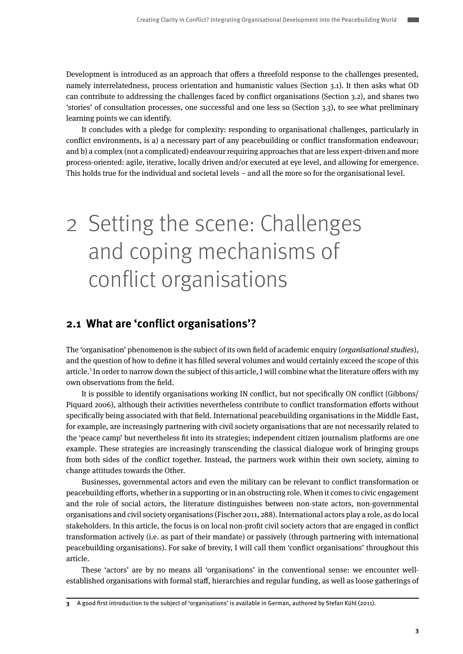<span id="page-2-0"></span>Development is introduced as an approach that offers a threefold response to the challenges presented, namely interrelatedness, process orientation and humanistic values (Section 3.1). It then asks what OD can contribute to addressing the challenges faced by conflict organisations (Section 3.2), and shares two 'stories' of consultation processes, one successful and one less so (Section 3.3), to see what preliminary learning points we can identify.

It concludes with a pledge for complexity: responding to organisational challenges, particularly in conflict environments, is a) a necessary part of any peacebuilding or conflict transformation endeavour; and b) a complex (not a complicated) endeavour requiring approaches that are less expert-driven and more process-oriented: agile, iterative, locally driven and/or executed at eye level, and allowing for emergence. This holds true for the individual and societal levels – and all the more so for the organisational level.

# 2 Setting the scene: Challenges and coping mechanisms of conflict organisations

## **2.1 What are 'conflict organisations'?**

The 'organisation' phenomenon is the subject of its own field of academic enquiry (organisational studies), and the question of how to define it has filled several volumes and would certainly exceed the scope of this article.<sup>3</sup> In order to narrow down the subject of this article, I will combine what the literature offers with my own observations from the field.

It is possible to identify organisations working IN conflict, but not specifically ON conflict (Gibbons/ Piquard 2006), although their activities nevertheless contribute to conflict transformation efforts without specifically being associated with that field. International peacebuilding organisations in the Middle East, for example, are increasingly partnering with civil society organisations that are not necessarily related to the 'peace camp' but nevertheless fit into its strategies; independent citizen journalism platforms are one example. These strategies are increasingly transcending the classical dialogue work of bringing groups from both sides of the conflict together. Instead, the partners work within their own society, aiming to change attitudes towards the Other.

Businesses, governmental actors and even the military can be relevant to conflict transformation or peacebuilding efforts, whether in a supporting or in an obstructing role. When it comes to civic engagement and the role of social actors, the literature distinguishes between non-state actors, non-governmental organisations and civil society organisations (Fischer 2011, 288). International actors play a role, as do local stakeholders. In this article, the focus is on local non-profit civil society actors that are engaged in conflict transformation actively (i.e. as part of their mandate) or passively (through partnering with international peacebuilding organisations). For sake of brevity, I will call them 'conflict organisations' throughout this article.

These 'actors' are by no means all 'organisations' in the conventional sense: we encounter wellestablished organisations with formal staff, hierarchies and regular funding, as well as loose gatherings of

**<sup>3</sup>** A good first introduction to the subject of 'organisations' is available in German, authored by Stefan Kühl (2011).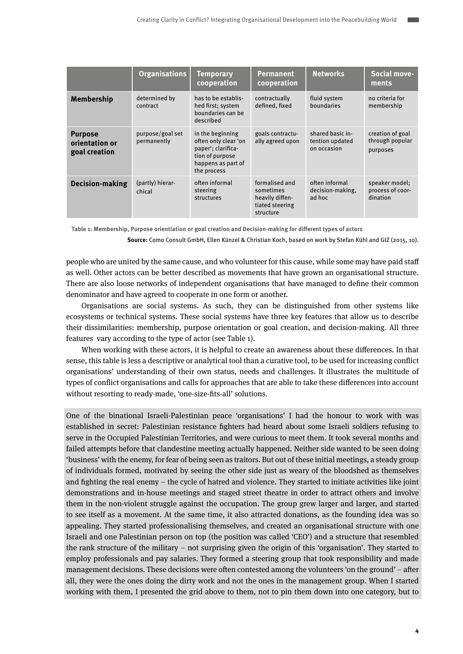|                                                   | <b>Organisations</b>            | <b>Temporary</b><br>cooperation                                                                                        | <b>Permanent</b><br>cooperation                                                | <b>Networks</b>                                    | <b>Social move-</b><br>ments                    |
|---------------------------------------------------|---------------------------------|------------------------------------------------------------------------------------------------------------------------|--------------------------------------------------------------------------------|----------------------------------------------------|-------------------------------------------------|
| Membership                                        | determined by<br>contract       | has to be establis-<br>hed first; system<br>boundaries can be<br>described                                             | contractually<br>defined, fixed                                                | fluid system<br>boundaries                         | no criteria for<br>membership                   |
| <b>Purpose</b><br>orientation or<br>goal creation | purpose/goal set<br>permanently | in the beginning<br>often only clear 'on<br>paper'; clarifica-<br>tion of purpose<br>happens as part of<br>the process | goals contractu-<br>ally agreed upon                                           | shared basic in-<br>tention updated<br>on occasion | creation of goal<br>through popular<br>purposes |
| <b>Decision-making</b>                            | (partly) hierar-<br>chical      | often informal<br>steering<br>structures                                                                               | formalised and<br>sometimes<br>heavily diffen-<br>tiated steering<br>structure | often informal<br>decision-making,<br>ad hoc       | speaker model;<br>process of coor-<br>dination  |

**Table 1: Membership, Purpose orientiation or goal creation and Decision-making for different types of actors**

**Source:** Como Consult GmbH, Ellen Künzel & Christian Koch, based on work by Stefan Kühl and GIZ (2015, 10).

people who are united by the same cause, and who volunteer for this cause, while some may have paid staff as well. Other actors can be better described as movements that have grown an organisational structure. There are also loose networks of independent organisations that have managed to define their common denominator and have agreed to cooperate in one form or another.

Organisations are social systems. As such, they can be distinguished from other systems like ecosystems or technical systems. These social systems have three key features that allow us to describe their dissimilarities: membership, purpose orientation or goal creation, and decision-making. All three features vary according to the type of actor (see Table 1).

When working with these actors, it is helpful to create an awareness about these differences. In that sense, this table is less a descriptive or analytical tool than a curative tool, to be used for increasing conflict organisations' understanding of their own status, needs and challenges. It illustrates the multitude of types of conflict organisations and calls for approaches that are able to take these differences into account without resorting to ready-made, 'one-size-fits-all' solutions.

One of the binational Israeli-Palestinian peace 'organisations' I had the honour to work with was established in secret: Palestinian resistance fighters had heard about some Israeli soldiers refusing to serve in the Occupied Palestinian Territories, and were curious to meet them. It took several months and failed attempts before that clandestine meeting actually happened. Neither side wanted to be seen doing 'business' with the enemy, for fear of being seen as traitors. But out of these initial meetings, a steady group of individuals formed, motivated by seeing the other side just as weary of the bloodshed as themselves and fighting the real enemy – the cycle of hatred and violence. They started to initiate activities like joint demonstrations and in-house meetings and staged street theatre in order to attract others and involve them in the non-violent struggle against the occupation. The group grew larger and larger, and started to see itself as a movement. At the same time, it also attracted donations, as the founding idea was so appealing. They started professionalising themselves, and created an organisational structure with one Israeli and one Palestinian person on top (the position was called 'CEO') and a structure that resembled the rank structure of the military – not surprising given the origin of this 'organisation'. They started to employ professionals and pay salaries. They formed a steering group that took responsibility and made management decisions. These decisions were often contested among the volunteers 'on the ground' – after all, they were the ones doing the dirty work and not the ones in the management group. When I started working with them, I presented the grid above to them, not to pin them down into one category, but to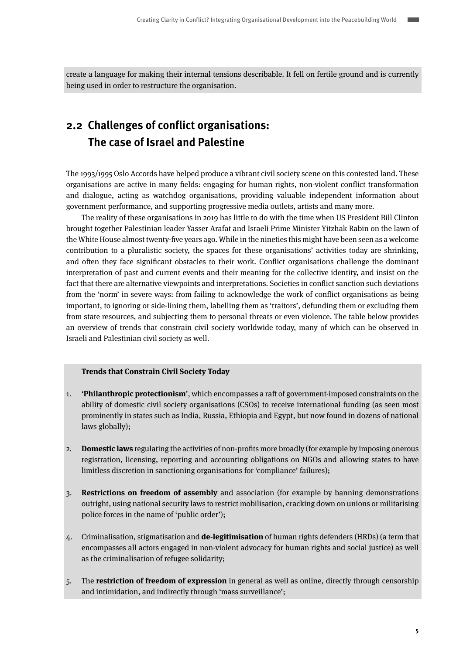<span id="page-4-0"></span>create a language for making their internal tensions describable. It fell on fertile ground and is currently being used in order to restructure the organisation.

## **2.2 Challenges of conflict organisations: The case of Israel and Palestine**

The 1993/1995 Oslo Accords have helped produce a vibrant civil society scene on this contested land. These organisations are active in many fields: engaging for human rights, non-violent conflict transformation and dialogue, acting as watchdog organisations, providing valuable independent information about government performance, and supporting progressive media outlets, artists and many more.

The reality of these organisations in 2019 has little to do with the time when US President Bill Clinton brought together Palestinian leader Yasser Arafat and Israeli Prime Minister Yitzhak Rabin on the lawn of the White House almost twenty-five years ago. While in the nineties this might have been seen as a welcome contribution to a pluralistic society, the spaces for these organisations' activities today are shrinking, and often they face significant obstacles to their work. Conflict organisations challenge the dominant interpretation of past and current events and their meaning for the collective identity, and insist on the fact that there are alternative viewpoints and interpretations. Societies in conflict sanction such deviations from the 'norm' in severe ways: from failing to acknowledge the work of conflict organisations as being important, to ignoring or side-lining them, labelling them as 'traitors', defunding them or excluding them from state resources, and subjecting them to personal threats or even violence. The table below provides an overview of trends that constrain civil society worldwide today, many of which can be observed in Israeli and Palestinian civil society as well.

### **Trends that Constrain Civil Society Today**

- 1. '**Philanthropic protectionism**', which encompasses a raft of government-imposed constraints on the ability of domestic civil society organisations (CSOs) to receive international funding (as seen most prominently in states such as India, Russia, Ethiopia and Egypt, but now found in dozens of national laws globally);
- 2. **Domestic laws** regulating the activities of non-profits more broadly (for example by imposing onerous registration, licensing, reporting and accounting obligations on NGOs and allowing states to have limitless discretion in sanctioning organisations for 'compliance' failures);
- 3. **Restrictions on freedom of assembly** and association (for example by banning demonstrations outright, using national security laws to restrict mobilisation, cracking down on unions or militarising police forces in the name of 'public order');
- 4. Criminalisation, stigmatisation and **de-legitimisation** of human rights defenders (HRDs) (a term that encompasses all actors engaged in non-violent advocacy for human rights and social justice) as well as the criminalisation of refugee solidarity;
- 5. The **restriction of freedom of expression** in general as well as online, directly through censorship and intimidation, and indirectly through 'mass surveillance';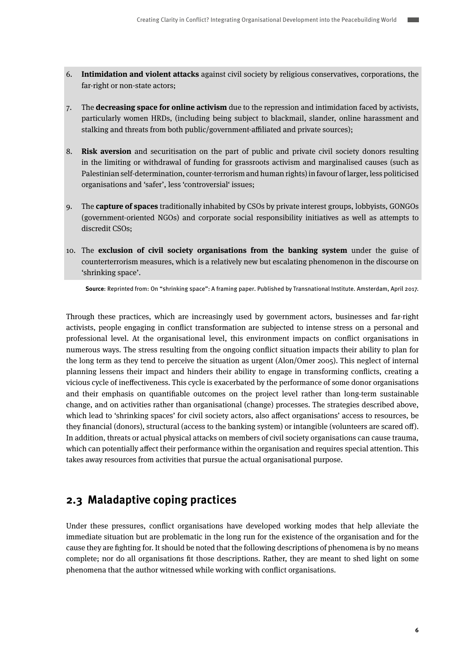- <span id="page-5-0"></span>6. **Intimidation and violent attacks** against civil society by religious conservatives, corporations, the far-right or non-state actors;
- 7. The **decreasing space for online activism** due to the repression and intimidation faced by activists, particularly women HRDs, (including being subject to blackmail, slander, online harassment and stalking and threats from both public/government-affiliated and private sources);
- 8. **Risk aversion** and securitisation on the part of public and private civil society donors resulting in the limiting or withdrawal of funding for grassroots activism and marginalised causes (such as Palestinian self-determination, counter-terrorism and human rights) in favour of larger, less politicised organisations and 'safer', less 'controversial' issues;
- 9. The **capture of spaces** traditionally inhabited by CSOs by private interest groups, lobbyists, GONGOs (government-oriented NGOs) and corporate social responsibility initiatives as well as attempts to discredit CSOs;
- 10. The **exclusion of civil society organisations from the banking system** under the guise of counterterrorism measures, which is a relatively new but escalating phenomenon in the discourse on 'shrinking space'.

**Source**: Reprinted from: On "shrinking space": A framing paper. Published by Transnational Institute. Amsterdam, April 2017.

Through these practices, which are increasingly used by government actors, businesses and far-right activists, people engaging in conflict transformation are subjected to intense stress on a personal and professional level. At the organisational level, this environment impacts on conflict organisations in numerous ways. The stress resulting from the ongoing conflict situation impacts their ability to plan for the long term as they tend to perceive the situation as urgent (Alon/Omer 2005). This neglect of internal planning lessens their impact and hinders their ability to engage in transforming conflicts, creating a vicious cycle of ineffectiveness. This cycle is exacerbated by the performance of some donor organisations and their emphasis on quantifiable outcomes on the project level rather than long-term sustainable change, and on activities rather than organisational (change) processes. The strategies described above, which lead to 'shrinking spaces' for civil society actors, also affect organisations' access to resources, be they financial (donors), structural (access to the banking system) or intangible (volunteers are scared off). In addition, threats or actual physical attacks on members of civil society organisations can cause trauma, which can potentially affect their performance within the organisation and requires special attention. This takes away resources from activities that pursue the actual organisational purpose.

## **2.3 Maladaptive coping practices**

Under these pressures, conflict organisations have developed working modes that help alleviate the immediate situation but are problematic in the long run for the existence of the organisation and for the cause they are fighting for. It should be noted that the following descriptions of phenomena is by no means complete; nor do all organisations fit those descriptions. Rather, they are meant to shed light on some phenomena that the author witnessed while working with conflict organisations.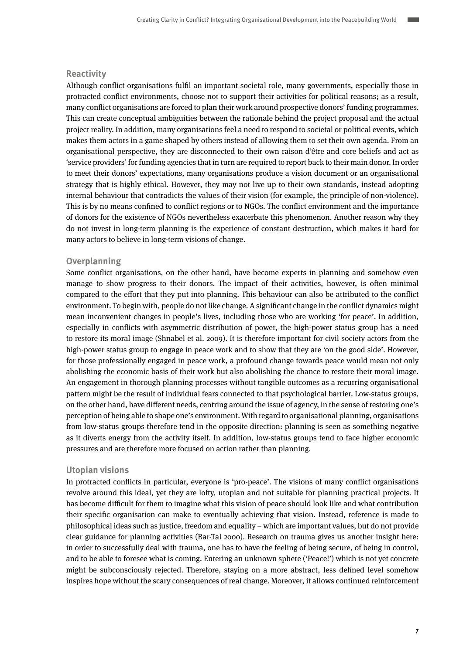#### **Reactivity**

Although conflict organisations fulfil an important societal role, many governments, especially those in protracted conflict environments, choose not to support their activities for political reasons; as a result, many conflict organisations are forced to plan their work around prospective donors' funding programmes. This can create conceptual ambiguities between the rationale behind the project proposal and the actual project reality. In addition, many organisations feel a need to respond to societal or political events, which makes them actors in a game shaped by others instead of allowing them to set their own agenda. From an organisational perspective, they are disconnected to their own raison d'être and core beliefs and act as 'service providers' for funding agencies that in turn are required to report back to their main donor. In order to meet their donors' expectations, many organisations produce a vision document or an organisational strategy that is highly ethical. However, they may not live up to their own standards, instead adopting internal behaviour that contradicts the values of their vision (for example, the principle of non-violence). This is by no means confined to conflict regions or to NGOs. The conflict environment and the importance of donors for the existence of NGOs nevertheless exacerbate this phenomenon. Another reason why they do not invest in long-term planning is the experience of constant destruction, which makes it hard for many actors to believe in long-term visions of change.

### **Overplanning**

Some conflict organisations, on the other hand, have become experts in planning and somehow even manage to show progress to their donors. The impact of their activities, however, is often minimal compared to the effort that they put into planning. This behaviour can also be attributed to the conflict environment. To begin with, people do not like change. A significant change in the conflict dynamics might mean inconvenient changes in people's lives, including those who are working 'for peace'. In addition, especially in conflicts with asymmetric distribution of power, the high-power status group has a need to restore its moral image (Shnabel et al. 2009). It is therefore important for civil society actors from the high-power status group to engage in peace work and to show that they are 'on the good side'. However, for those professionally engaged in peace work, a profound change towards peace would mean not only abolishing the economic basis of their work but also abolishing the chance to restore their moral image. An engagement in thorough planning processes without tangible outcomes as a recurring organisational pattern might be the result of individual fears connected to that psychological barrier. Low-status groups, on the other hand, have different needs, centring around the issue of agency, in the sense of restoring one's perception of being able to shape one's environment. With regard to organisational planning, organisations from low-status groups therefore tend in the opposite direction: planning is seen as something negative as it diverts energy from the activity itself. In addition, low-status groups tend to face higher economic pressures and are therefore more focused on action rather than planning.

#### **Utopian visions**

In protracted conflicts in particular, everyone is 'pro-peace'. The visions of many conflict organisations revolve around this ideal, yet they are lofty, utopian and not suitable for planning practical projects. It has become difficult for them to imagine what this vision of peace should look like and what contribution their specific organisation can make to eventually achieving that vision. Instead, reference is made to philosophical ideas such as justice, freedom and equality – which are important values, but do not provide clear guidance for planning activities (Bar-Tal 2000). Research on trauma gives us another insight here: in order to successfully deal with trauma, one has to have the feeling of being secure, of being in control, and to be able to foresee what is coming. Entering an unknown sphere ('Peace!') which is not yet concrete might be subconsciously rejected. Therefore, staying on a more abstract, less defined level somehow inspires hope without the scary consequences of real change. Moreover, it allows continued reinforcement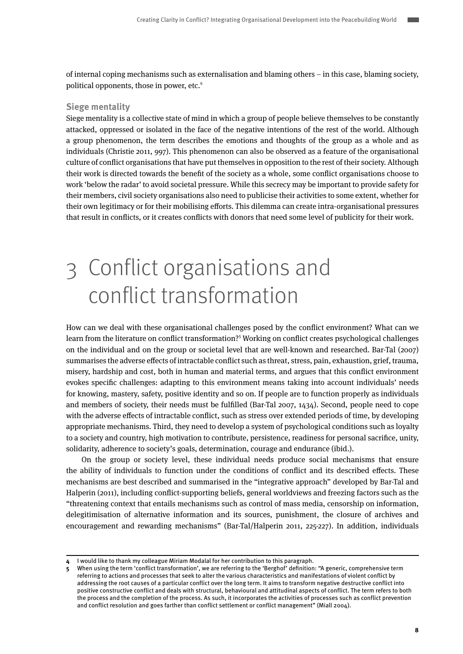<span id="page-7-0"></span>of internal coping mechanisms such as externalisation and blaming others – in this case, blaming society, political opponents, those in power, etc.<sup>4</sup>

### **Siege mentality**

Siege mentality is a collective state of mind in which a group of people believe themselves to be constantly attacked, oppressed or isolated in the face of the negative intentions of the rest of the world. Although a group phenomenon, the term describes the emotions and thoughts of the group as a whole and as individuals (Christie 2011, 997). This phenomenon can also be observed as a feature of the organisational culture of conflict organisations that have put themselves in opposition to the rest of their society. Although their work is directed towards the benefit of the society as a whole, some conflict organisations choose to work 'below the radar' to avoid societal pressure. While this secrecy may be important to provide safety for their members, civil society organisations also need to publicise their activities to some extent, whether for their own legitimacy or for their mobilising efforts. This dilemma can create intra-organisational pressures that result in conflicts, or it creates conflicts with donors that need some level of publicity for their work.

# 3 Conflict organisations and conflict transformation

How can we deal with these organisational challenges posed by the conflict environment? What can we learn from the literature on conflict transformation?<sup>5</sup> Working on conflict creates psychological challenges on the individual and on the group or societal level that are well-known and researched. Bar-Tal (2007) summarises the adverse effects of intractable conflict such as threat, stress, pain, exhaustion, grief, trauma, misery, hardship and cost, both in human and material terms, and argues that this conflict environment evokes specific challenges: adapting to this environment means taking into account individuals' needs for knowing, mastery, safety, positive identity and so on. If people are to function properly as individuals and members of society, their needs must be fulfilled (Bar-Tal 2007, 1434). Second, people need to cope with the adverse effects of intractable conflict, such as stress over extended periods of time, by developing appropriate mechanisms. Third, they need to develop a system of psychological conditions such as loyalty to a society and country, high motivation to contribute, persistence, readiness for personal sacrifice, unity, solidarity, adherence to society's goals, determination, courage and endurance (ibid.).

On the group or society level, these individual needs produce social mechanisms that ensure the ability of individuals to function under the conditions of conflict and its described effects. These mechanisms are best described and summarised in the "integrative approach" developed by Bar-Tal and Halperin (2011), including conflict-supporting beliefs, general worldviews and freezing factors such as the "threatening context that entails mechanisms such as control of mass media, censorship on information, delegitimisation of alternative information and its sources, punishment, the closure of archives and encouragement and rewarding mechanisms" (Bar-Tal/Halperin 2011, 225-227). In addition, individuals

**<sup>4</sup>** I would like to thank my colleague Miriam Modalal for her contribution to this paragraph.

**<sup>5</sup>** When using the term 'conflict transformation', we are referring to the 'Berghof' definition: "A generic, comprehensive term referring to actions and processes that seek to alter the various characteristics and manifestations of violent conflict by addressing the root causes of a particular conflict over the long term. It aims to transform negative destructive conflict into positive constructive conflict and deals with structural, behavioural and attitudinal aspects of conflict. The term refers to both the process and the completion of the process. As such, it incorporates the activities of processes such as conflict prevention and conflict resolution and goes farther than conflict settlement or conflict management" (Miall 2004).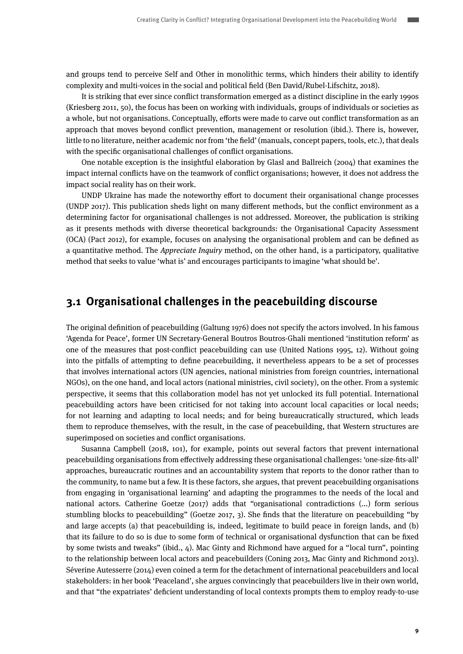<span id="page-8-0"></span>and groups tend to perceive Self and Other in monolithic terms, which hinders their ability to identify complexity and multi-voices in the social and political field (Ben David/Rubel-Lifschitz, 2018).

It is striking that ever since conflict transformation emerged as a distinct discipline in the early 1990s (Kriesberg 2011, 50), the focus has been on working with individuals, groups of individuals or societies as a whole, but not organisations. Conceptually, efforts were made to carve out conflict transformation as an approach that moves beyond conflict prevention, management or resolution (ibid.). There is, however, little to no literature, neither academic nor from 'the field' (manuals, concept papers, tools, etc.), that deals with the specific organisational challenges of conflict organisations.

One notable exception is the insightful elaboration by Glasl and Ballreich (2004) that examines the impact internal conflicts have on the teamwork of conflict organisations; however, it does not address the impact social reality has on their work.

UNDP Ukraine has made the noteworthy effort to document their organisational change processes (UNDP 2017). This publication sheds light on many different methods, but the conflict environment as a determining factor for organisational challenges is not addressed. Moreover, the publication is striking as it presents methods with diverse theoretical backgrounds: the Organisational Capacity Assessment (OCA) (Pact 2012), for example, focuses on analysing the organisational problem and can be defined as a quantitative method. The Appreciate Inquiry method, on the other hand, is a participatory, qualitative method that seeks to value 'what is' and encourages participants to imagine 'what should be'.

### **3.1 Organisational challenges in the peacebuilding discourse**

The original definition of peacebuilding (Galtung 1976) does not specify the actors involved. In his famous 'Agenda for Peace', former UN Secretary-General Boutros Boutros-Ghali mentioned 'institution reform' as one of the measures that post-conflict peacebuilding can use (United Nations 1995, 12). Without going into the pitfalls of attempting to define peacebuilding, it nevertheless appears to be a set of processes that involves international actors (UN agencies, national ministries from foreign countries, international NGOs), on the one hand, and local actors (national ministries, civil society), on the other. From a systemic perspective, it seems that this collaboration model has not yet unlocked its full potential. International peacebuilding actors have been criticised for not taking into account local capacities or local needs; for not learning and adapting to local needs; and for being bureaucratically structured, which leads them to reproduce themselves, with the result, in the case of peacebuilding, that Western structures are superimposed on societies and conflict organisations.

Susanna Campbell (2018, 101), for example, points out several factors that prevent international peacebuilding organisations from effectively addressing these organisational challenges: 'one-size-fits-all' approaches, bureaucratic routines and an accountability system that reports to the donor rather than to the community, to name but a few. It is these factors, she argues, that prevent peacebuilding organisations from engaging in 'organisational learning' and adapting the programmes to the needs of the local and national actors. Catherine Goetze (2017) adds that "organisational contradictions (...) form serious stumbling blocks to peacebuilding" (Goetze 2017, 3). She finds that the literature on peacebuilding "by and large accepts (a) that peacebuilding is, indeed, legitimate to build peace in foreign lands, and (b) that its failure to do so is due to some form of technical or organisational dysfunction that can be fixed by some twists and tweaks" (ibid., 4). Mac Ginty and Richmond have argued for a "local turn", pointing to the relationship between local actors and peacebuilders (Coning 2013, Mac Ginty and Richmond 2013). Séverine Autesserre (2014) even coined a term for the detachment of international peacebuilders and local stakeholders: in her book 'Peaceland', she argues convincingly that peacebuilders live in their own world, and that "the expatriates' deficient understanding of local contexts prompts them to employ ready-to-use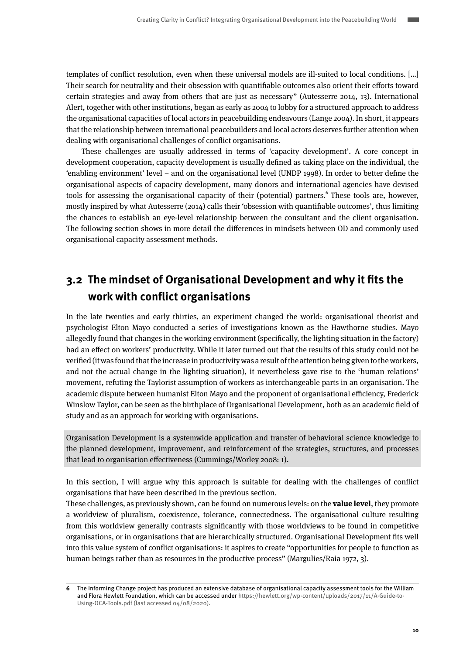<span id="page-9-0"></span>templates of conflict resolution, even when these universal models are ill-suited to local conditions. […] Their search for neutrality and their obsession with quantifiable outcomes also orient their efforts toward certain strategies and away from others that are just as necessary" (Autesserre 2014, 13). International Alert, together with other institutions, began as early as 2004 to lobby for a structured approach to address the organisational capacities of local actors in peacebuilding endeavours (Lange 2004). In short, it appears that the relationship between international peacebuilders and local actors deserves further attention when dealing with organisational challenges of conflict organisations.

These challenges are usually addressed in terms of 'capacity development'. A core concept in development cooperation, capacity development is usually defined as taking place on the individual, the 'enabling environment' level – and on the organisational level (UNDP 1998). In order to better define the organisational aspects of capacity development, many donors and international agencies have devised tools for assessing the organisational capacity of their (potential) partners. These tools are, however, mostly inspired by what Autesserre (2014) calls their 'obsession with quantifiable outcomes', thus limiting the chances to establish an eye-level relationship between the consultant and the client organisation. The following section shows in more detail the differences in mindsets between OD and commonly used organisational capacity assessment methods.

## **3.2 The mindset of Organisational Development and why it fits the work with conflict organisations**

In the late twenties and early thirties, an experiment changed the world: organisational theorist and psychologist Elton Mayo conducted a series of investigations known as the Hawthorne studies. Mayo allegedly found that changes in the working environment (specifically, the lighting situation in the factory) had an effect on workers' productivity. While it later turned out that the results of this study could not be verified (it was found that the increase in productivity was a result of the attention being given to the workers, and not the actual change in the lighting situation), it nevertheless gave rise to the 'human relations' movement, refuting the Taylorist assumption of workers as interchangeable parts in an organisation. The academic dispute between humanist Elton Mayo and the proponent of organisational efficiency, Frederick Winslow Taylor, can be seen as the birthplace of Organisational Development, both as an academic field of study and as an approach for working with organisations.

Organisation Development is a systemwide application and transfer of behavioral science knowledge to the planned development, improvement, and reinforcement of the strategies, structures, and processes that lead to organisation effectiveness (Cummings/Worley 2008: 1).

In this section, I will argue why this approach is suitable for dealing with the challenges of conflict organisations that have been described in the previous section.

These challenges, as previously shown, can be found on numerous levels: on the **value level**, they promote a worldview of pluralism, coexistence, tolerance, connectedness. The organisational culture resulting from this worldview generally contrasts significantly with those worldviews to be found in competitive organisations, or in organisations that are hierarchically structured. Organisational Development fits well into this value system of conflict organisations: it aspires to create "opportunities for people to function as human beings rather than as resources in the productive process" (Margulies/Raia 1972, 3).

**<sup>6</sup>** The Informing Change project has produced an extensive database of organisational capacity assessment tools for the William and Flora Hewlett Foundation, which can be accessed under https://hewlett.org/wp-content/uploads/2017/11/A-Guide-to-Using-OCA-Tools.pdf (last accessed 04/08/2020).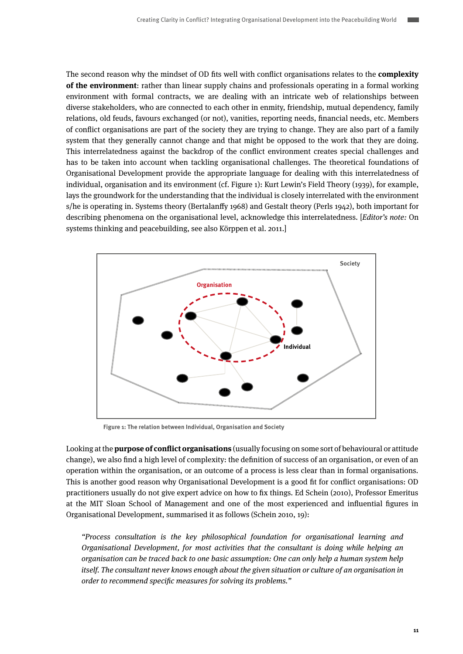The second reason why the mindset of OD fits well with conflict organisations relates to the **complexity of the environment**: rather than linear supply chains and professionals operating in a formal working environment with formal contracts, we are dealing with an intricate web of relationships between diverse stakeholders, who are connected to each other in enmity, friendship, mutual dependency, family relations, old feuds, favours exchanged (or not), vanities, reporting needs, financial needs, etc. Members of conflict organisations are part of the society they are trying to change. They are also part of a family system that they generally cannot change and that might be opposed to the work that they are doing. This interrelatedness against the backdrop of the conflict environment creates special challenges and has to be taken into account when tackling organisational challenges. The theoretical foundations of Organisational Development provide the appropriate language for dealing with this interrelatedness of individual, organisation and its environment (cf. Figure 1): Kurt Lewin's Field Theory (1939), for example, lays the groundwork for the understanding that the individual is closely interrelated with the environment s/he is operating in. Systems theory (Bertalanffy 1968) and Gestalt theory (Perls 1942), both important for describing phenomena on the organisational level, acknowledge this interrelatedness. [Editor's note: On systems thinking and peacebuilding, see also Körppen et al. 2011.]



**Figure 1: The relation between Individual, Organisation and Society**

Looking at the **purpose of conflict organisations** (usually focusing on some sort of behavioural or attitude change), we also find a high level of complexity: the definition of success of an organisation, or even of an operation within the organisation, or an outcome of a process is less clear than in formal organisations. This is another good reason why Organisational Development is a good fit for conflict organisations: OD practitioners usually do not give expert advice on how to fix things. Ed Schein (2010), Professor Emeritus at the MIT Sloan School of Management and one of the most experienced and influential figures in Organisational Development, summarised it as follows (Schein 2010, 19):

"Process consultation is the key philosophical foundation for organisational learning and Organisational Development, for most activities that the consultant is doing while helping an organisation can be traced back to one basic assumption: One can only help a human system help itself. The consultant never knows enough about the given situation or culture of an organisation in order to recommend specific measures for solving its problems."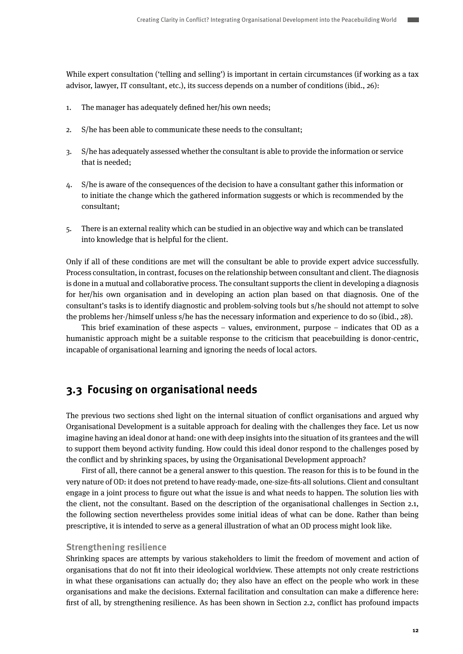<span id="page-11-0"></span>While expert consultation ('telling and selling') is important in certain circumstances (if working as a tax advisor, lawyer, IT consultant, etc.), its success depends on a number of conditions (ibid., 26):

- 1. The manager has adequately defined her/his own needs;
- 2. S/he has been able to communicate these needs to the consultant;
- 3. S/he has adequately assessed whether the consultant is able to provide the information or service that is needed;
- 4. S/he is aware of the consequences of the decision to have a consultant gather this information or to initiate the change which the gathered information suggests or which is recommended by the consultant;
- 5. There is an external reality which can be studied in an objective way and which can be translated into knowledge that is helpful for the client.

Only if all of these conditions are met will the consultant be able to provide expert advice successfully. Process consultation, in contrast, focuses on the relationship between consultant and client. The diagnosis is done in a mutual and collaborative process. The consultant supports the client in developing a diagnosis for her/his own organisation and in developing an action plan based on that diagnosis. One of the consultant's tasks is to identify diagnostic and problem-solving tools but s/he should not attempt to solve the problems her-/himself unless s/he has the necessary information and experience to do so (ibid., 28).

This brief examination of these aspects – values, environment, purpose – indicates that OD as a humanistic approach might be a suitable response to the criticism that peacebuilding is donor-centric, incapable of organisational learning and ignoring the needs of local actors.

## **3.3 Focusing on organisational needs**

The previous two sections shed light on the internal situation of conflict organisations and argued why Organisational Development is a suitable approach for dealing with the challenges they face. Let us now imagine having an ideal donor at hand: one with deep insights into the situation of its grantees and the will to support them beyond activity funding. How could this ideal donor respond to the challenges posed by the conflict and by shrinking spaces, by using the Organisational Development approach?

First of all, there cannot be a general answer to this question. The reason for this is to be found in the very nature of OD: it does not pretend to have ready-made, one-size-fits-all solutions. Client and consultant engage in a joint process to figure out what the issue is and what needs to happen. The solution lies with the client, not the consultant. Based on the description of the organisational challenges in Section 2.1, the following section nevertheless provides some initial ideas of what can be done. Rather than being prescriptive, it is intended to serve as a general illustration of what an OD process might look like.

### **Strengthening resilience**

Shrinking spaces are attempts by various stakeholders to limit the freedom of movement and action of organisations that do not fit into their ideological worldview. These attempts not only create restrictions in what these organisations can actually do; they also have an effect on the people who work in these organisations and make the decisions. External facilitation and consultation can make a difference here: first of all, by strengthening resilience. As has been shown in Section 2.2, conflict has profound impacts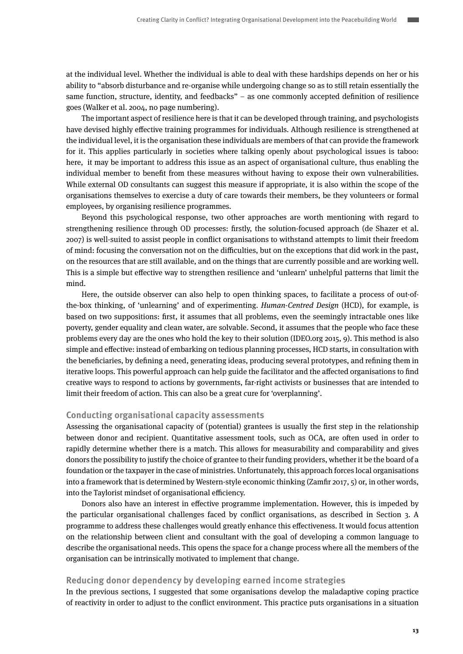at the individual level. Whether the individual is able to deal with these hardships depends on her or his ability to "absorb disturbance and re-organise while undergoing change so as to still retain essentially the same function, structure, identity, and feedbacks" – as one commonly accepted definition of resilience goes (Walker et al. 2004, no page numbering).

The important aspect of resilience here is that it can be developed through training, and psychologists have devised highly effective training programmes for individuals. Although resilience is strengthened at the individual level, it is the organisation these individuals are members of that can provide the framework for it. This applies particularly in societies where talking openly about psychological issues is taboo: here, it may be important to address this issue as an aspect of organisational culture, thus enabling the individual member to benefit from these measures without having to expose their own vulnerabilities. While external OD consultants can suggest this measure if appropriate, it is also within the scope of the organisations themselves to exercise a duty of care towards their members, be they volunteers or formal employees, by organising resilience programmes.

Beyond this psychological response, two other approaches are worth mentioning with regard to strengthening resilience through OD processes: firstly, the solution-focused approach (de Shazer et al. 2007) is well-suited to assist people in conflict organisations to withstand attempts to limit their freedom of mind: focusing the conversation not on the difficulties, but on the exceptions that did work in the past, on the resources that are still available, and on the things that are currently possible and are working well. This is a simple but effective way to strengthen resilience and 'unlearn' unhelpful patterns that limit the mind.

Here, the outside observer can also help to open thinking spaces, to facilitate a process of out-ofthe-box thinking, of 'unlearning' and of experimenting. Human-Centred Design (HCD), for example, is based on two suppositions: first, it assumes that all problems, even the seemingly intractable ones like poverty, gender equality and clean water, are solvable. Second, it assumes that the people who face these problems every day are the ones who hold the key to their solution (IDEO.org 2015, 9). This method is also simple and effective: instead of embarking on tedious planning processes, HCD starts, in consultation with the beneficiaries, by defining a need, generating ideas, producing several prototypes, and refining them in iterative loops. This powerful approach can help guide the facilitator and the affected organisations to find creative ways to respond to actions by governments, far-right activists or businesses that are intended to limit their freedom of action. This can also be a great cure for 'overplanning'.

### **Conducting organisational capacity assessments**

Assessing the organisational capacity of (potential) grantees is usually the first step in the relationship between donor and recipient. Quantitative assessment tools, such as OCA, are often used in order to rapidly determine whether there is a match. This allows for measurability and comparability and gives donors the possibility to justify the choice of grantee to their funding providers, whether it be the board of a foundation or the taxpayer in the case of ministries. Unfortunately, this approach forces local organisations into a framework that is determined by Western-style economic thinking (Zamfir 2017, 5) or, in other words, into the Taylorist mindset of organisational efficiency.

Donors also have an interest in effective programme implementation. However, this is impeded by the particular organisational challenges faced by conflict organisations, as described in Section 3. A programme to address these challenges would greatly enhance this effectiveness. It would focus attention on the relationship between client and consultant with the goal of developing a common language to describe the organisational needs. This opens the space for a change process where all the members of the organisation can be intrinsically motivated to implement that change.

### **Reducing donor dependency by developing earned income strategies**

In the previous sections, I suggested that some organisations develop the maladaptive coping practice of reactivity in order to adjust to the conflict environment. This practice puts organisations in a situation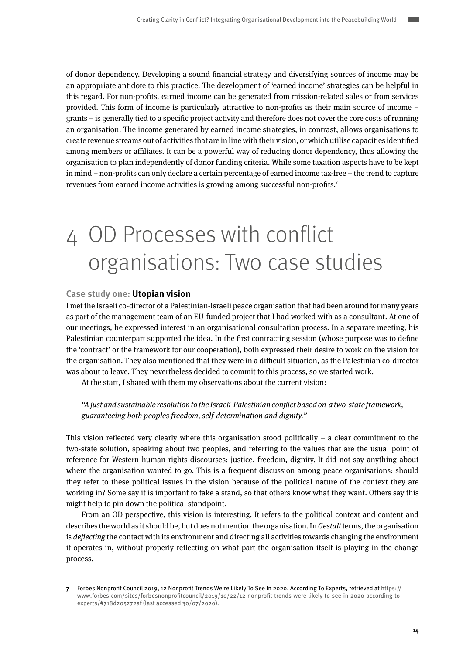<span id="page-13-0"></span>of donor dependency. Developing a sound financial strategy and diversifying sources of income may be an appropriate antidote to this practice. The development of 'earned income' strategies can be helpful in this regard. For non-profits, earned income can be generated from mission-related sales or from services provided. This form of income is particularly attractive to non-profits as their main source of income – grants – is generally tied to a specific project activity and therefore does not cover the core costs of running an organisation. The income generated by earned income strategies, in contrast, allows organisations to create revenue streams out of activities that are in line with their vision, or which utilise capacities identified among members or affiliates. It can be a powerful way of reducing donor dependency, thus allowing the organisation to plan independently of donor funding criteria. While some taxation aspects have to be kept in mind – non-profits can only declare a certain percentage of earned income tax-free – the trend to capture revenues from earned income activities is growing among successful non-profits.7

# 4 OD Processes with conflict organisations: Two case studies

### **Case study one: Utopian vision**

I met the Israeli co-director of a Palestinian-Israeli peace organisation that had been around for many years as part of the management team of an EU-funded project that I had worked with as a consultant. At one of our meetings, he expressed interest in an organisational consultation process. In a separate meeting, his Palestinian counterpart supported the idea. In the first contracting session (whose purpose was to define the 'contract' or the framework for our cooperation), both expressed their desire to work on the vision for the organisation. They also mentioned that they were in a difficult situation, as the Palestinian co-director was about to leave. They nevertheless decided to commit to this process, so we started work.

At the start, I shared with them my observations about the current vision:

"A just and sustainable resolution to the Israeli-Palestinian conflict based on a two-state framework, guaranteeing both peoples freedom, self-determination and dignity."

This vision reflected very clearly where this organisation stood politically  $-$  a clear commitment to the two-state solution, speaking about two peoples, and referring to the values that are the usual point of reference for Western human rights discourses: justice, freedom, dignity. It did not say anything about where the organisation wanted to go. This is a frequent discussion among peace organisations: should they refer to these political issues in the vision because of the political nature of the context they are working in? Some say it is important to take a stand, so that others know what they want. Others say this might help to pin down the political standpoint.

From an OD perspective, this vision is interesting. It refers to the political context and content and describes the world as it should be, but does not mention the organisation. In Gestalt terms, the organisation is *deflecting* the contact with its environment and directing all activities towards changing the environment it operates in, without properly reflecting on what part the organisation itself is playing in the change process.

**<sup>7</sup>** Forbes Nonprofit Council 2019, 12 Nonprofit Trends We're Likely To See In 2020, According To Experts, retrieved at https:// www.forbes.com/sites/forbesnonprofitcouncil/2019/10/22/12-nonprofit-trends-were-likely-to-see-in-2020-according-toexperts/#718d205272af (last accessed 30/07/2020).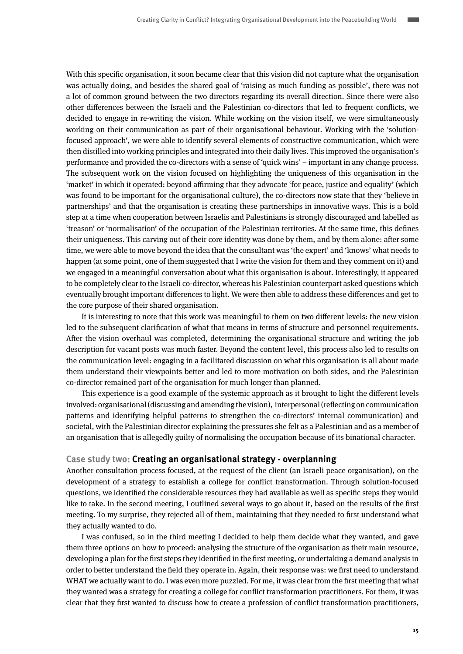With this specific organisation, it soon became clear that this vision did not capture what the organisation was actually doing, and besides the shared goal of 'raising as much funding as possible', there was not a lot of common ground between the two directors regarding its overall direction. Since there were also other differences between the Israeli and the Palestinian co-directors that led to frequent conflicts, we decided to engage in re-writing the vision. While working on the vision itself, we were simultaneously working on their communication as part of their organisational behaviour. Working with the 'solutionfocused approach', we were able to identify several elements of constructive communication, which were then distilled into working principles and integrated into their daily lives. This improved the organisation's performance and provided the co-directors with a sense of 'quick wins' – important in any change process. The subsequent work on the vision focused on highlighting the uniqueness of this organisation in the 'market' in which it operated: beyond affirming that they advocate 'for peace, justice and equality' (which was found to be important for the organisational culture), the co-directors now state that they 'believe in partnerships' and that the organisation is creating these partnerships in innovative ways. This is a bold step at a time when cooperation between Israelis and Palestinians is strongly discouraged and labelled as 'treason' or 'normalisation' of the occupation of the Palestinian territories. At the same time, this defines their uniqueness. This carving out of their core identity was done by them, and by them alone: after some time, we were able to move beyond the idea that the consultant was 'the expert' and 'knows' what needs to happen (at some point, one of them suggested that I write the vision for them and they comment on it) and we engaged in a meaningful conversation about what this organisation is about. Interestingly, it appeared to be completely clear to the Israeli co-director, whereas his Palestinian counterpart asked questions which eventually brought important differences to light. We were then able to address these differences and get to the core purpose of their shared organisation.

It is interesting to note that this work was meaningful to them on two different levels: the new vision led to the subsequent clarification of what that means in terms of structure and personnel requirements. After the vision overhaul was completed, determining the organisational structure and writing the job description for vacant posts was much faster. Beyond the content level, this process also led to results on the communication level: engaging in a facilitated discussion on what this organisation is all about made them understand their viewpoints better and led to more motivation on both sides, and the Palestinian co-director remained part of the organisation for much longer than planned.

This experience is a good example of the systemic approach as it brought to light the different levels involved: organisational (discussing and amending the vision), interpersonal (reflecting on communication patterns and identifying helpful patterns to strengthen the co-directors' internal communication) and societal, with the Palestinian director explaining the pressures she felt as a Palestinian and as a member of an organisation that is allegedly guilty of normalising the occupation because of its binational character.

### **Case study two: Creating an organisational strategy - overplanning**

Another consultation process focused, at the request of the client (an Israeli peace organisation), on the development of a strategy to establish a college for conflict transformation. Through solution-focused questions, we identified the considerable resources they had available as well as specific steps they would like to take. In the second meeting, I outlined several ways to go about it, based on the results of the first meeting. To my surprise, they rejected all of them, maintaining that they needed to first understand what they actually wanted to do.

I was confused, so in the third meeting I decided to help them decide what they wanted, and gave them three options on how to proceed: analysing the structure of the organisation as their main resource, developing a plan for the first steps they identified in the first meeting, or undertaking a demand analysis in order to better understand the field they operate in. Again, their response was: we first need to understand WHAT we actually want to do. I was even more puzzled. For me, it was clear from the first meeting that what they wanted was a strategy for creating a college for conflict transformation practitioners. For them, it was clear that they first wanted to discuss how to create a profession of conflict transformation practitioners,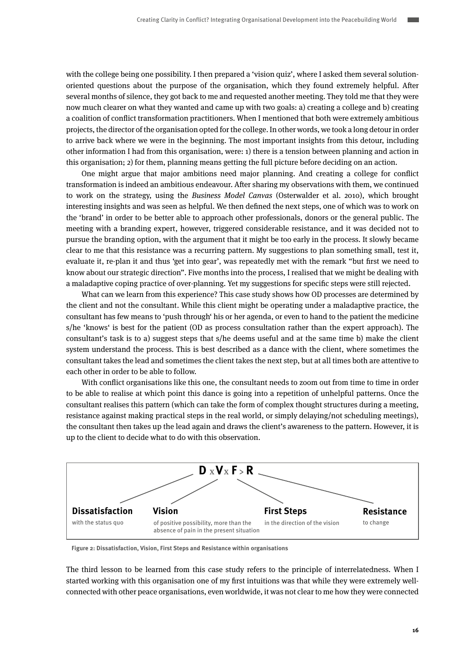with the college being one possibility. I then prepared a 'vision quiz', where I asked them several solutionoriented questions about the purpose of the organisation, which they found extremely helpful. After several months of silence, they got back to me and requested another meeting. They told me that they were now much clearer on what they wanted and came up with two goals: a) creating a college and b) creating a coalition of conflict transformation practitioners. When I mentioned that both were extremely ambitious projects, the director of the organisation opted for the college. In other words, we took a long detour in order to arrive back where we were in the beginning. The most important insights from this detour, including other information I had from this organisation, were: 1) there is a tension between planning and action in this organisation; 2) for them, planning means getting the full picture before deciding on an action.

One might argue that major ambitions need major planning. And creating a college for conflict transformation is indeed an ambitious endeavour. After sharing my observations with them, we continued to work on the strategy, using the Business Model Canvas (Osterwalder et al. 2010), which brought interesting insights and was seen as helpful. We then defined the next steps, one of which was to work on the 'brand' in order to be better able to approach other professionals, donors or the general public. The meeting with a branding expert, however, triggered considerable resistance, and it was decided not to pursue the branding option, with the argument that it might be too early in the process. It slowly became clear to me that this resistance was a recurring pattern. My suggestions to plan something small, test it, evaluate it, re-plan it and thus 'get into gear', was repeatedly met with the remark "but first we need to know about our strategic direction". Five months into the process, I realised that we might be dealing with a maladaptive coping practice of over-planning. Yet my suggestions for specific steps were still rejected.

What can we learn from this experience? This case study shows how OD processes are determined by the client and not the consultant. While this client might be operating under a maladaptive practice, the consultant has few means to 'push through' his or her agenda, or even to hand to the patient the medicine s/he 'knows' is best for the patient (OD as process consultation rather than the expert approach). The consultant's task is to a) suggest steps that s/he deems useful and at the same time b) make the client system understand the process. This is best described as a dance with the client, where sometimes the consultant takes the lead and sometimes the client takes the next step, but at all times both are attentive to each other in order to be able to follow.

With conflict organisations like this one, the consultant needs to zoom out from time to time in order to be able to realise at which point this dance is going into a repetition of unhelpful patterns. Once the consultant realises this pattern (which can take the form of complex thought structures during a meeting, resistance against making practical steps in the real world, or simply delaying/not scheduling meetings), the consultant then takes up the lead again and draws the client's awareness to the pattern. However, it is up to the client to decide what to do with this observation.



**Figure 2: Dissatisfaction, Vision, First Steps and Resistance within organisations**

The third lesson to be learned from this case study refers to the principle of interrelatedness. When I started working with this organisation one of my first intuitions was that while they were extremely wellconnected with other peace organisations, even worldwide, it was not clear to me how they were connected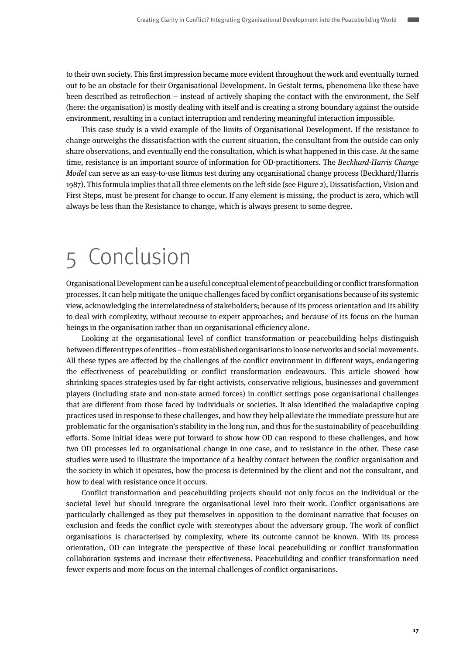<span id="page-16-0"></span>to their own society. This first impression became more evident throughout the work and eventually turned out to be an obstacle for their Organisational Development. In Gestalt terms, phenomena like these have been described as retroflection – instead of actively shaping the contact with the environment, the Self (here: the organisation) is mostly dealing with itself and is creating a strong boundary against the outside environment, resulting in a contact interruption and rendering meaningful interaction impossible.

This case study is a vivid example of the limits of Organisational Development. If the resistance to change outweighs the dissatisfaction with the current situation, the consultant from the outside can only share observations, and eventually end the consultation, which is what happened in this case. At the same time, resistance is an important source of information for OD-practitioners. The Beckhard-Harris Change Model can serve as an easy-to-use litmus test during any organisational change process (Beckhard/Harris 1987). This formula implies that all three elements on the left side (see Figure 2), Dissatisfaction, Vision and First Steps, must be present for change to occur. If any element is missing, the product is zero, which will always be less than the Resistance to change, which is always present to some degree.

## 5 Conclusion

Organisational Development can be a useful conceptual element of peacebuilding or conflict transformation processes. It can help mitigate the unique challenges faced by conflict organisations because of its systemic view, acknowledging the interrelatedness of stakeholders; because of its process orientation and its ability to deal with complexity, without recourse to expert approaches; and because of its focus on the human beings in the organisation rather than on organisational efficiency alone.

Looking at the organisational level of conflict transformation or peacebuilding helps distinguish between different types of entities – from established organisations to loose networks and social movements. All these types are affected by the challenges of the conflict environment in different ways, endangering the effectiveness of peacebuilding or conflict transformation endeavours. This article showed how shrinking spaces strategies used by far-right activists, conservative religious, businesses and government players (including state and non-state armed forces) in conflict settings pose organisational challenges that are different from those faced by individuals or societies. It also identified the maladaptive coping practices used in response to these challenges, and how they help alleviate the immediate pressure but are problematic for the organisation's stability in the long run, and thus for the sustainability of peacebuilding efforts. Some initial ideas were put forward to show how OD can respond to these challenges, and how two OD processes led to organisational change in one case, and to resistance in the other. These case studies were used to illustrate the importance of a healthy contact between the conflict organisation and the society in which it operates, how the process is determined by the client and not the consultant, and how to deal with resistance once it occurs.

Conflict transformation and peacebuilding projects should not only focus on the individual or the societal level but should integrate the organisational level into their work. Conflict organisations are particularly challenged as they put themselves in opposition to the dominant narrative that focuses on exclusion and feeds the conflict cycle with stereotypes about the adversary group. The work of conflict organisations is characterised by complexity, where its outcome cannot be known. With its process orientation, OD can integrate the perspective of these local peacebuilding or conflict transformation collaboration systems and increase their effectiveness. Peacebuilding and conflict transformation need fewer experts and more focus on the internal challenges of conflict organisations.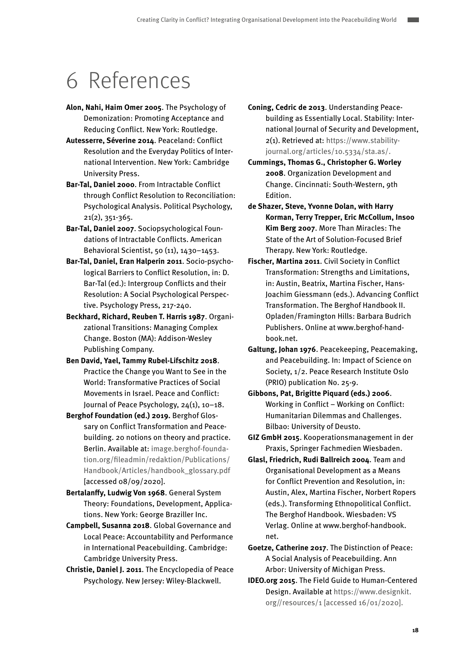## <span id="page-17-0"></span>6 References

- **Alon, Nahi, Haim Omer 2005**. The Psychology of Demonization: Promoting Acceptance and Reducing Conflict. New York: Routledge.
- **Autesserre, Séverine 2014**. Peaceland: Conflict Resolution and the Everyday Politics of International Intervention. New York: Cambridge University Press.
- **Bar-Tal, Daniel 2000**. From Intractable Conflict through Conflict Resolution to Reconciliation: Psychological Analysis. Political Psychology, 21(2), 351-365.
- **Bar-Tal, Daniel 2007**. Sociopsychological Foundations of Intractable Conflicts. American Behavioral Scientist, 50 (11), 1430–1453.
- **Bar-Tal, Daniel, Eran Halperin 2011**. Socio-psychological Barriers to Conflict Resolution, in: D. Bar-Tal (ed.): Intergroup Conflicts and their Resolution: A Social Psychological Perspective. Psychology Press, 217-240.
- **Beckhard, Richard, Reuben T. Harris 1987**. Organizational Transitions: Managing Complex Change. Boston (MA): Addison-Wesley Publishing Company.
- **Ben David, Yael, Tammy Rubel-Lifschitz 2018**. Practice the Change you Want to See in the World: Transformative Practices of Social Movements in Israel. Peace and Conflict: Journal of Peace Psychology, 24(1), 10–18.
- **Berghof Foundation (ed.) 2019.** Berghof Glossary on Conflict Transformation and Peacebuilding. 20 notions on theory and practice. Berlin. Available at: image.berghof-foundation.org/fileadmin/redaktion/Publications/ Handbook/Articles/handbook\_glossary.pdf [accessed 08/09/2020].
- **Bertalanffy, Ludwig Von 1968**. General System Theory: Foundations, Development, Applications. New York: George Braziller Inc.
- **Campbell, Susanna 2018**. Global Governance and Local Peace: Accountability and Performance in International Peacebuilding. Cambridge: Cambridge University Press.
- **Christie, Daniel J. 2011**. The Encyclopedia of Peace Psychology. New Jersey: Wiley-Blackwell.
- **Coning, Cedric de 2013**. Understanding Peacebuilding as Essentially Local. Stability: International Journal of Security and Development, 2(1). Retrieved at: https://www.stabilityjournal.org/articles/10.5334/sta.as/.
- **Cummings, Thomas G., Christopher G. Worley 2008**. Organization Development and Change. Cincinnati: South-Western, 9th Edition.
- **de Shazer, Steve, Yvonne Dolan, with Harry Korman, Terry Trepper, Eric McCollum, Insoo Kim Berg 2007**. More Than Miracles: The State of the Art of Solution-Focused Brief Therapy. New York: Routledge.
- **Fischer, Martina 2011**. Civil Society in Conflict Transformation: Strengths and Limitations, in: Austin, Beatrix, Martina Fischer, Hans-Joachim Giessmann (eds.). Advancing Conflict Transformation. The Berghof Handbook II. Opladen/Framington Hills: Barbara Budrich Publishers. Online at www.berghof-handbook.net.
- **Galtung, Johan 1976**. Peacekeeping, Peacemaking, and Peacebuilding. In: Impact of Science on Society, 1/2. Peace Research Institute Oslo (PRIO) publication No. 25-9.
- **Gibbons, Pat, Brigitte Piquard (eds.) 2006**. Working in Conflict – Working on Conflict: Humanitarian Dilemmas and Challenges. Bilbao: University of Deusto.
- **GIZ GmbH 2015**. Kooperationsmanagement in der Praxis, Springer Fachmedien Wiesbaden.
- **Glasl, Friedrich, Rudi Ballreich 2004**. Team and Organisational Development as a Means for Conflict Prevention and Resolution, in: Austin, Alex, Martina Fischer, Norbert Ropers (eds.). Transforming Ethnopolitical Conflict. The Berghof Handbook. Wiesbaden: VS Verlag. Online at www.berghof-handbook. net.
- **Goetze, Catherine 2017**. The Distinction of Peace: A Social Analysis of Peacebuilding. Ann Arbor: University of Michigan Press.
- **IDEO.org 2015**. The Field Guide to Human-Centered Design. Available at https://www.designkit. org//resources/1 [accessed 16/01/2020].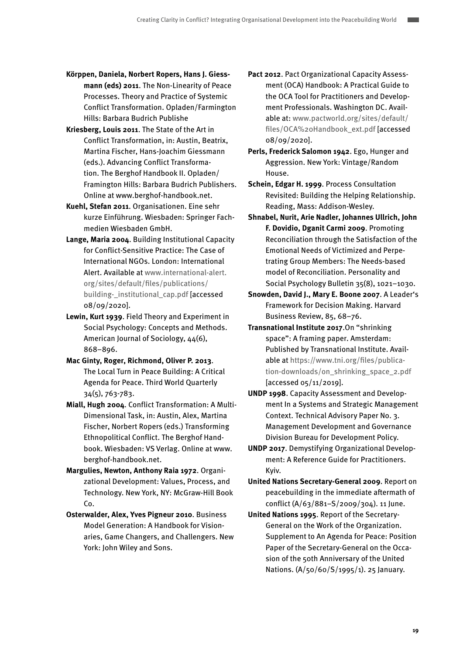- **Körppen, Daniela, Norbert Ropers, Hans J. Giessmann (eds) 2011**. The Non-Linearity of Peace Processes. Theory and Practice of Systemic Conflict Transformation. Opladen/Farmington Hills: Barbara Budrich Publishe
- **Kriesberg, Louis 2011**. The State of the Art in Conflict Transformation, in: Austin, Beatrix, Martina Fischer, Hans-Joachim Giessmann (eds.). Advancing Conflict Transformation. The Berghof Handbook II. Opladen/ Framington Hills: Barbara Budrich Publishers. Online at www.berghof-handbook.net.
- **Kuehl, Stefan 2011**. Organisationen. Eine sehr kurze Einführung. Wiesbaden: Springer Fachmedien Wiesbaden GmbH.
- **Lange, Maria 2004**. Building Institutional Capacity for Conflict-Sensitive Practice: The Case of International NGOs. London: International Alert. Available at www.international-alert. org/sites/default/files/publications/ building-\_institutional\_cap.pdf [accessed 08/09/2020].
- **Lewin, Kurt 1939**. Field Theory and Experiment in Social Psychology: Concepts and Methods. American Journal of Sociology, 44(6), 868–896.
- **Mac Ginty, Roger, Richmond, Oliver P. 2013**. The Local Turn in Peace Building: A Critical Agenda for Peace. Third World Quarterly 34(5), 763-783.
- **Miall, Hugh 2004**. Conflict Transformation: A Multi-Dimensional Task, in: Austin, Alex, Martina Fischer, Norbert Ropers (eds.) Transforming Ethnopolitical Conflict. The Berghof Handbook. Wiesbaden: VS Verlag. Online at www. berghof-handbook.net.
- **Margulies, Newton, Anthony Raia 1972**. Organizational Development: Values, Process, and Technology. New York, NY: McGraw-Hill Book Co.
- **Osterwalder, Alex, Yves Pigneur 2010**. Business Model Generation: A Handbook for Visionaries, Game Changers, and Challengers. New York: John Wiley and Sons.
- **Pact 2012**. Pact Organizational Capacity Assessment (OCA) Handbook: A Practical Guide to the OCA Tool for Practitioners and Development Professionals. Washington DC. Available at: www.pactworld.org/sites/default/ files/OCA%20Handbook\_ext.pdf [accessed 08/09/2020].
- **Perls, Frederick Salomon 1942**. Ego, Hunger and Aggression. New York: Vintage/Random House.
- **Schein, Edgar H. 1999**. Process Consultation Revisited: Building the Helping Relationship. Reading, Mass: Addison-Wesley.
- **Shnabel, Nurit, Arie Nadler, Johannes Ullrich, John F. Dovidio, Dganit Carmi 2009**. Promoting Reconciliation through the Satisfaction of the Emotional Needs of Victimized and Perpetrating Group Members: The Needs-based model of Reconciliation. Personality and Social Psychology Bulletin 35(8), 1021–1030.
- **Snowden, David J., Mary E. Boone 2007**. A Leader's Framework for Decision Making. Harvard Business Review, 85, 68–76.
- **Transnational Institute 2017**.On "shrinking space": A framing paper. Amsterdam: Published by Transnational Institute. Available at https://www.tni.org/files/publication-downloads/on\_shrinking\_space\_2.pdf [accessed 05/11/2019].
- **UNDP 1998**. Capacity Assessment and Development In a Systems and Strategic Management Context. Technical Advisory Paper No. 3. Management Development and Governance Division Bureau for Development Policy.
- **UNDP 2017**. Demystifying Organizational Development: A Reference Guide for Practitioners. Kyiv.
- **United Nations Secretary-General 2009**. Report on peacebuilding in the immediate aftermath of conflict (A/63/881–S/2009/304). 11 June.
- **United Nations 1995**. Report of the Secretary-General on the Work of the Organization. Supplement to An Agenda for Peace: Position Paper of the Secretary-General on the Occasion of the 50th Anniversary of the United Nations. (A/50/60/S/1995/1). 25 January.